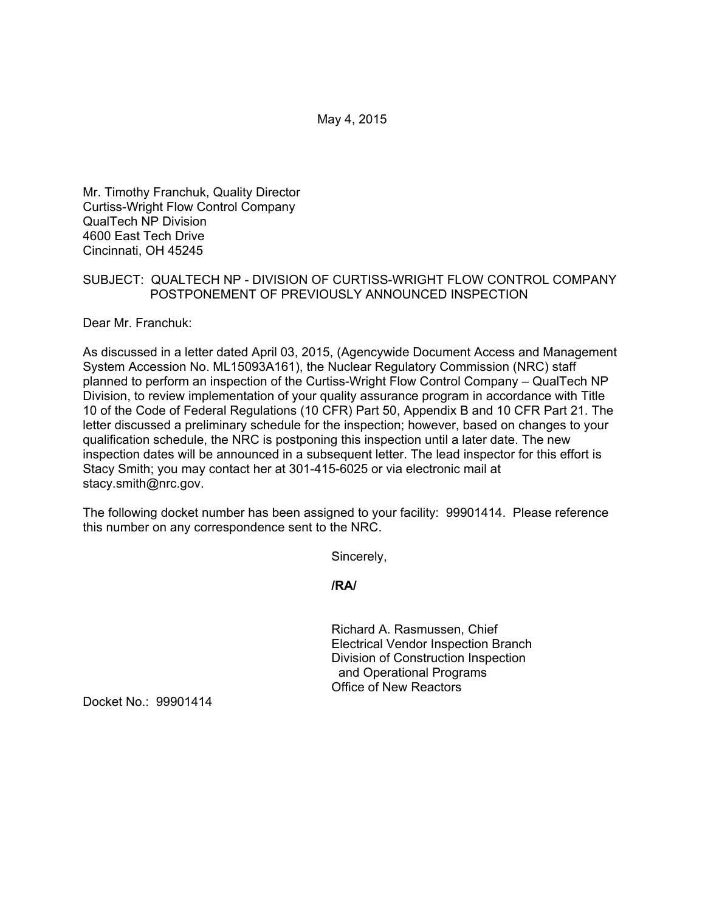May 4, 2015

Mr. Timothy Franchuk, Quality Director Curtiss-Wright Flow Control Company QualTech NP Division 4600 East Tech Drive Cincinnati, OH 45245

# SUBJECT: QUALTECH NP - DIVISION OF CURTISS-WRIGHT FLOW CONTROL COMPANY POSTPONEMENT OF PREVIOUSLY ANNOUNCED INSPECTION

Dear Mr. Franchuk:

As discussed in a letter dated April 03, 2015, (Agencywide Document Access and Management System Accession No. ML15093A161), the Nuclear Regulatory Commission (NRC) staff planned to perform an inspection of the Curtiss-Wright Flow Control Company – QualTech NP Division, to review implementation of your quality assurance program in accordance with Title 10 of the Code of Federal Regulations (10 CFR) Part 50, Appendix B and 10 CFR Part 21. The letter discussed a preliminary schedule for the inspection; however, based on changes to your qualification schedule, the NRC is postponing this inspection until a later date. The new inspection dates will be announced in a subsequent letter. The lead inspector for this effort is Stacy Smith; you may contact her at 301-415-6025 or via electronic mail at stacy.smith@nrc.gov.

The following docket number has been assigned to your facility: 99901414. Please reference this number on any correspondence sent to the NRC.

Sincerely,

**/RA/** 

Richard A. Rasmussen, Chief Electrical Vendor Inspection Branch Division of Construction Inspection and Operational Programs Office of New Reactors

Docket No.: 99901414